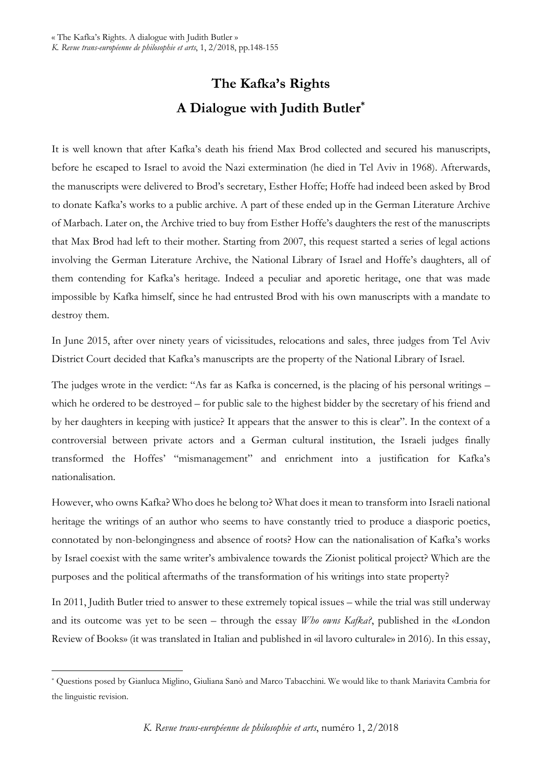## **The Kafka's Rights A Dialogue with Judith Butler\***

It is well known that after Kafka's death his friend Max Brod collected and secured his manuscripts, before he escaped to Israel to avoid the Nazi extermination (he died in Tel Aviv in 1968). Afterwards, the manuscripts were delivered to Brod's secretary, Esther Hoffe; Hoffe had indeed been asked by Brod to donate Kafka's works to a public archive. A part of these ended up in the German Literature Archive of Marbach. Later on, the Archive tried to buy from Esther Hoffe's daughters the rest of the manuscripts that Max Brod had left to their mother. Starting from 2007, this request started a series of legal actions involving the German Literature Archive, the National Library of Israel and Hoffe's daughters, all of them contending for Kafka's heritage. Indeed a peculiar and aporetic heritage, one that was made impossible by Kafka himself, since he had entrusted Brod with his own manuscripts with a mandate to destroy them.

In June 2015, after over ninety years of vicissitudes, relocations and sales, three judges from Tel Aviv District Court decided that Kafka's manuscripts are the property of the National Library of Israel.

The judges wrote in the verdict: "As far as Kafka is concerned, is the placing of his personal writings – which he ordered to be destroyed – for public sale to the highest bidder by the secretary of his friend and by her daughters in keeping with justice? It appears that the answer to this is clear". In the context of a controversial between private actors and a German cultural institution, the Israeli judges finally transformed the Hoffes' "mismanagement" and enrichment into a justification for Kafka's nationalisation.

However, who owns Kafka? Who does he belong to? What does it mean to transform into Israeli national heritage the writings of an author who seems to have constantly tried to produce a diasporic poetics, connotated by non-belongingness and absence of roots? How can the nationalisation of Kafka's works by Israel coexist with the same writer's ambivalence towards the Zionist political project? Which are the purposes and the political aftermaths of the transformation of his writings into state property?

In 2011, Judith Butler tried to answer to these extremely topical issues – while the trial was still underway and its outcome was yet to be seen – through the essay *Who owns Kafka?*, published in the «London Review of Books» (it was translated in Italian and published in «il lavoro culturale» in 2016). In this essay,

 $\overline{a}$ 

<sup>\*</sup> Questions posed by Gianluca Miglino, Giuliana Sanò and Marco Tabacchini. We would like to thank Mariavita Cambria for the linguistic revision.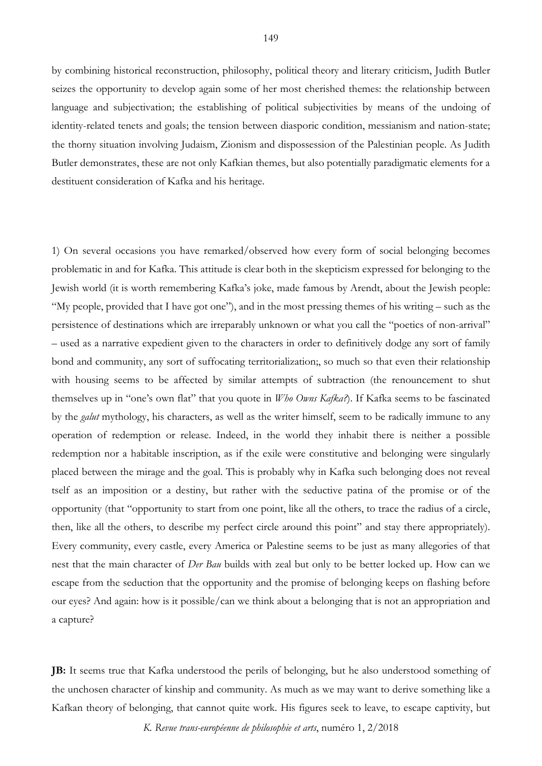by combining historical reconstruction, philosophy, political theory and literary criticism, Judith Butler seizes the opportunity to develop again some of her most cherished themes: the relationship between language and subjectivation; the establishing of political subjectivities by means of the undoing of identity-related tenets and goals; the tension between diasporic condition, messianism and nation-state; the thorny situation involving Judaism, Zionism and dispossession of the Palestinian people. As Judith Butler demonstrates, these are not only Kafkian themes, but also potentially paradigmatic elements for a destituent consideration of Kafka and his heritage.

1) On several occasions you have remarked/observed how every form of social belonging becomes problematic in and for Kafka. This attitude is clear both in the skepticism expressed for belonging to the Jewish world (it is worth remembering Kafka's joke, made famous by Arendt, about the Jewish people: "My people, provided that I have got one"), and in the most pressing themes of his writing – such as the persistence of destinations which are irreparably unknown or what you call the "poetics of non-arrival" – used as a narrative expedient given to the characters in order to definitively dodge any sort of family bond and community, any sort of suffocating territorialization;, so much so that even their relationship with housing seems to be affected by similar attempts of subtraction (the renouncement to shut themselves up in "one's own flat" that you quote in *Who Owns Kafka?*). If Kafka seems to be fascinated by the *galut* mythology, his characters, as well as the writer himself, seem to be radically immune to any operation of redemption or release. Indeed, in the world they inhabit there is neither a possible redemption nor a habitable inscription, as if the exile were constitutive and belonging were singularly placed between the mirage and the goal. This is probably why in Kafka such belonging does not reveal tself as an imposition or a destiny, but rather with the seductive patina of the promise or of the opportunity (that "opportunity to start from one point, like all the others, to trace the radius of a circle, then, like all the others, to describe my perfect circle around this point" and stay there appropriately). Every community, every castle, every America or Palestine seems to be just as many allegories of that nest that the main character of *Der Bau* builds with zeal but only to be better locked up. How can we escape from the seduction that the opportunity and the promise of belonging keeps on flashing before our eyes? And again: how is it possible/can we think about a belonging that is not an appropriation and a capture?

**JB:** It seems true that Kafka understood the perils of belonging, but he also understood something of the unchosen character of kinship and community. As much as we may want to derive something like a Kafkan theory of belonging, that cannot quite work. His figures seek to leave, to escape captivity, but

*K. Revue trans-européenne de philosophie et arts*, numéro 1, 2/2018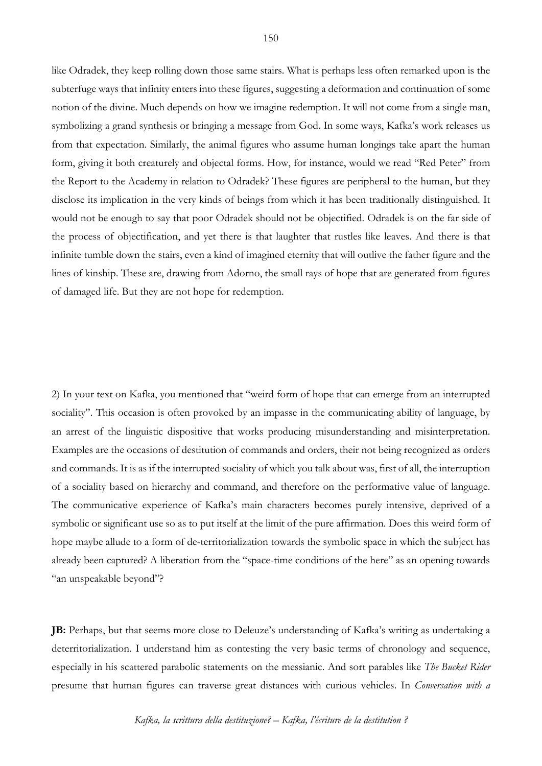like Odradek, they keep rolling down those same stairs. What is perhaps less often remarked upon is the subterfuge ways that infinity enters into these figures, suggesting a deformation and continuation of some notion of the divine. Much depends on how we imagine redemption. It will not come from a single man, symbolizing a grand synthesis or bringing a message from God. In some ways, Kafka's work releases us from that expectation. Similarly, the animal figures who assume human longings take apart the human form, giving it both creaturely and objectal forms. How, for instance, would we read "Red Peter" from the Report to the Academy in relation to Odradek? These figures are peripheral to the human, but they disclose its implication in the very kinds of beings from which it has been traditionally distinguished. It would not be enough to say that poor Odradek should not be objectified. Odradek is on the far side of the process of objectification, and yet there is that laughter that rustles like leaves. And there is that infinite tumble down the stairs, even a kind of imagined eternity that will outlive the father figure and the lines of kinship. These are, drawing from Adorno, the small rays of hope that are generated from figures of damaged life. But they are not hope for redemption.

2) In your text on Kafka, you mentioned that "weird form of hope that can emerge from an interrupted sociality". This occasion is often provoked by an impasse in the communicating ability of language, by an arrest of the linguistic dispositive that works producing misunderstanding and misinterpretation. Examples are the occasions of destitution of commands and orders, their not being recognized as orders and commands. It is as if the interrupted sociality of which you talk about was, first of all, the interruption of a sociality based on hierarchy and command, and therefore on the performative value of language. The communicative experience of Kafka's main characters becomes purely intensive, deprived of a symbolic or significant use so as to put itself at the limit of the pure affirmation. Does this weird form of hope maybe allude to a form of de-territorialization towards the symbolic space in which the subject has already been captured? A liberation from the "space-time conditions of the here" as an opening towards "an unspeakable beyond"?

**JB:** Perhaps, but that seems more close to Deleuze's understanding of Kafka's writing as undertaking a deterritorialization. I understand him as contesting the very basic terms of chronology and sequence, especially in his scattered parabolic statements on the messianic. And sort parables like *The Bucket Rider* presume that human figures can traverse great distances with curious vehicles. In *Conversation with a* 

*Kafka, la scrittura della destituzione? – Kafka, l'écriture de la destitution ?*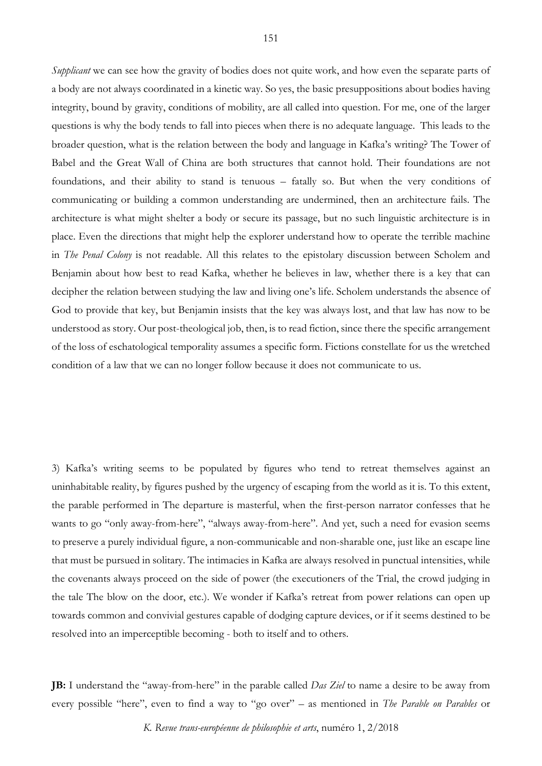*Supplicant* we can see how the gravity of bodies does not quite work, and how even the separate parts of a body are not always coordinated in a kinetic way. So yes, the basic presuppositions about bodies having integrity, bound by gravity, conditions of mobility, are all called into question. For me, one of the larger questions is why the body tends to fall into pieces when there is no adequate language. This leads to the broader question, what is the relation between the body and language in Kafka's writing? The Tower of Babel and the Great Wall of China are both structures that cannot hold. Their foundations are not foundations, and their ability to stand is tenuous – fatally so. But when the very conditions of communicating or building a common understanding are undermined, then an architecture fails. The architecture is what might shelter a body or secure its passage, but no such linguistic architecture is in place. Even the directions that might help the explorer understand how to operate the terrible machine in *The Penal Colony* is not readable. All this relates to the epistolary discussion between Scholem and Benjamin about how best to read Kafka, whether he believes in law, whether there is a key that can decipher the relation between studying the law and living one's life. Scholem understands the absence of God to provide that key, but Benjamin insists that the key was always lost, and that law has now to be understood as story. Our post-theological job, then, is to read fiction, since there the specific arrangement of the loss of eschatological temporality assumes a specific form. Fictions constellate for us the wretched condition of a law that we can no longer follow because it does not communicate to us.

3) Kafka's writing seems to be populated by figures who tend to retreat themselves against an uninhabitable reality, by figures pushed by the urgency of escaping from the world as it is. To this extent, the parable performed in The departure is masterful, when the first-person narrator confesses that he wants to go "only away-from-here", "always away-from-here". And yet, such a need for evasion seems to preserve a purely individual figure, a non-communicable and non-sharable one, just like an escape line that must be pursued in solitary. The intimacies in Kafka are always resolved in punctual intensities, while the covenants always proceed on the side of power (the executioners of the Trial, the crowd judging in the tale The blow on the door, etc.). We wonder if Kafka's retreat from power relations can open up towards common and convivial gestures capable of dodging capture devices, or if it seems destined to be resolved into an imperceptible becoming - both to itself and to others.

**JB:** I understand the "away-from-here" in the parable called *Das Ziel* to name a desire to be away from every possible "here", even to find a way to "go over" – as mentioned in *The Parable on Parables* or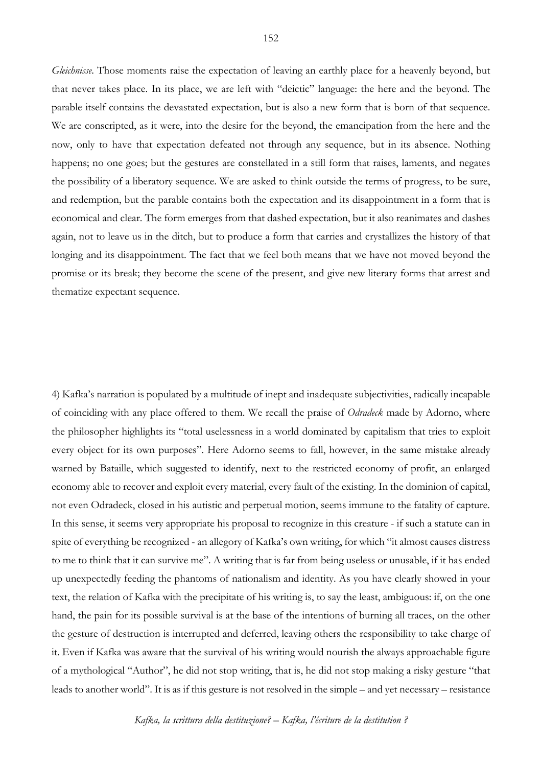*Gleichnisse*. Those moments raise the expectation of leaving an earthly place for a heavenly beyond, but that never takes place. In its place, we are left with "deictic" language: the here and the beyond. The parable itself contains the devastated expectation, but is also a new form that is born of that sequence. We are conscripted, as it were, into the desire for the beyond, the emancipation from the here and the now, only to have that expectation defeated not through any sequence, but in its absence. Nothing happens; no one goes; but the gestures are constellated in a still form that raises, laments, and negates the possibility of a liberatory sequence. We are asked to think outside the terms of progress, to be sure, and redemption, but the parable contains both the expectation and its disappointment in a form that is economical and clear. The form emerges from that dashed expectation, but it also reanimates and dashes again, not to leave us in the ditch, but to produce a form that carries and crystallizes the history of that longing and its disappointment. The fact that we feel both means that we have not moved beyond the promise or its break; they become the scene of the present, and give new literary forms that arrest and thematize expectant sequence.

4) Kafka's narration is populated by a multitude of inept and inadequate subjectivities, radically incapable of coinciding with any place offered to them. We recall the praise of *Odradeck* made by Adorno, where the philosopher highlights its "total uselessness in a world dominated by capitalism that tries to exploit every object for its own purposes". Here Adorno seems to fall, however, in the same mistake already warned by Bataille, which suggested to identify, next to the restricted economy of profit, an enlarged economy able to recover and exploit every material, every fault of the existing. In the dominion of capital, not even Odradeck, closed in his autistic and perpetual motion, seems immune to the fatality of capture. In this sense, it seems very appropriate his proposal to recognize in this creature - if such a statute can in spite of everything be recognized - an allegory of Kafka's own writing, for which "it almost causes distress to me to think that it can survive me". A writing that is far from being useless or unusable, if it has ended up unexpectedly feeding the phantoms of nationalism and identity. As you have clearly showed in your text, the relation of Kafka with the precipitate of his writing is, to say the least, ambiguous: if, on the one hand, the pain for its possible survival is at the base of the intentions of burning all traces, on the other the gesture of destruction is interrupted and deferred, leaving others the responsibility to take charge of it. Even if Kafka was aware that the survival of his writing would nourish the always approachable figure of a mythological "Author", he did not stop writing, that is, he did not stop making a risky gesture "that leads to another world". It is as if this gesture is not resolved in the simple – and yet necessary – resistance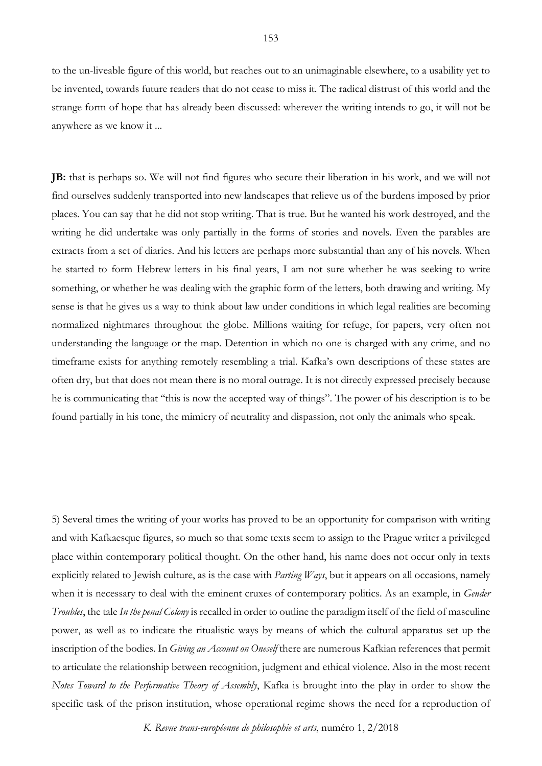to the un-liveable figure of this world, but reaches out to an unimaginable elsewhere, to a usability yet to be invented, towards future readers that do not cease to miss it. The radical distrust of this world and the strange form of hope that has already been discussed: wherever the writing intends to go, it will not be anywhere as we know it ...

**JB:** that is perhaps so. We will not find figures who secure their liberation in his work, and we will not find ourselves suddenly transported into new landscapes that relieve us of the burdens imposed by prior places. You can say that he did not stop writing. That is true. But he wanted his work destroyed, and the writing he did undertake was only partially in the forms of stories and novels. Even the parables are extracts from a set of diaries. And his letters are perhaps more substantial than any of his novels. When he started to form Hebrew letters in his final years, I am not sure whether he was seeking to write something, or whether he was dealing with the graphic form of the letters, both drawing and writing. My sense is that he gives us a way to think about law under conditions in which legal realities are becoming normalized nightmares throughout the globe. Millions waiting for refuge, for papers, very often not understanding the language or the map. Detention in which no one is charged with any crime, and no timeframe exists for anything remotely resembling a trial. Kafka's own descriptions of these states are often dry, but that does not mean there is no moral outrage. It is not directly expressed precisely because he is communicating that "this is now the accepted way of things". The power of his description is to be found partially in his tone, the mimicry of neutrality and dispassion, not only the animals who speak.

5) Several times the writing of your works has proved to be an opportunity for comparison with writing and with Kafkaesque figures, so much so that some texts seem to assign to the Prague writer a privileged place within contemporary political thought. On the other hand, his name does not occur only in texts explicitly related to Jewish culture, as is the case with *Parting Ways*, but it appears on all occasions, namely when it is necessary to deal with the eminent cruxes of contemporary politics. As an example, in *Gender Troubles*, the tale *In the penal Colony* is recalled in order to outline the paradigm itself of the field of masculine power, as well as to indicate the ritualistic ways by means of which the cultural apparatus set up the inscription of the bodies. In *Giving an Account on Oneself* there are numerous Kafkian references that permit to articulate the relationship between recognition, judgment and ethical violence. Also in the most recent *Notes Toward to the Performative Theory of Assembly*, Kafka is brought into the play in order to show the specific task of the prison institution, whose operational regime shows the need for a reproduction of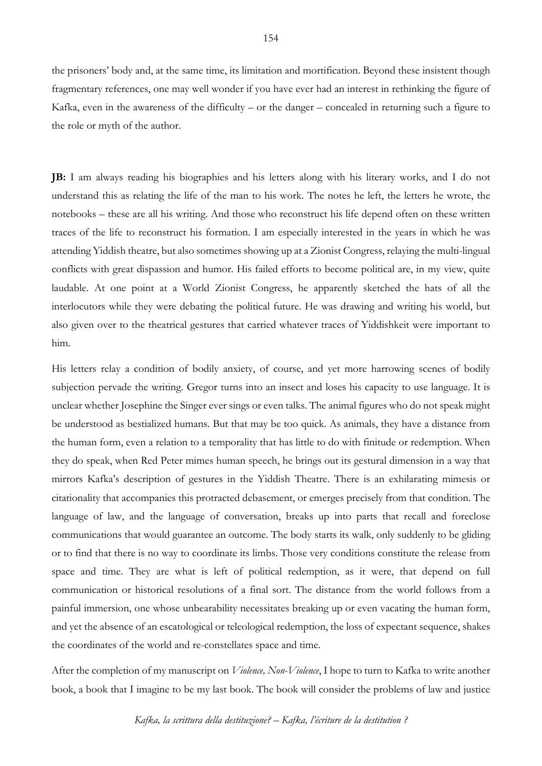the prisoners' body and, at the same time, its limitation and mortification. Beyond these insistent though fragmentary references, one may well wonder if you have ever had an interest in rethinking the figure of Kafka, even in the awareness of the difficulty – or the danger – concealed in returning such a figure to the role or myth of the author.

**JB:** I am always reading his biographies and his letters along with his literary works, and I do not understand this as relating the life of the man to his work. The notes he left, the letters he wrote, the notebooks – these are all his writing. And those who reconstruct his life depend often on these written traces of the life to reconstruct his formation. I am especially interested in the years in which he was attending Yiddish theatre, but also sometimes showing up at a Zionist Congress, relaying the multi-lingual conflicts with great dispassion and humor. His failed efforts to become political are, in my view, quite laudable. At one point at a World Zionist Congress, he apparently sketched the hats of all the interlocutors while they were debating the political future. He was drawing and writing his world, but also given over to the theatrical gestures that carried whatever traces of Yiddishkeit were important to him.

His letters relay a condition of bodily anxiety, of course, and yet more harrowing scenes of bodily subjection pervade the writing. Gregor turns into an insect and loses his capacity to use language. It is unclear whether Josephine the Singer ever sings or even talks. The animal figures who do not speak might be understood as bestialized humans. But that may be too quick. As animals, they have a distance from the human form, even a relation to a temporality that has little to do with finitude or redemption. When they do speak, when Red Peter mimes human speech, he brings out its gestural dimension in a way that mirrors Kafka's description of gestures in the Yiddish Theatre. There is an exhilarating mimesis or citationality that accompanies this protracted debasement, or emerges precisely from that condition. The language of law, and the language of conversation, breaks up into parts that recall and foreclose communications that would guarantee an outcome. The body starts its walk, only suddenly to be gliding or to find that there is no way to coordinate its limbs. Those very conditions constitute the release from space and time. They are what is left of political redemption, as it were, that depend on full communication or historical resolutions of a final sort. The distance from the world follows from a painful immersion, one whose unbearability necessitates breaking up or even vacating the human form, and yet the absence of an escatological or teleological redemption, the loss of expectant sequence, shakes the coordinates of the world and re-constellates space and time.

After the completion of my manuscript on *Violence, Non-Violence*, I hope to turn to Kafka to write another book, a book that I imagine to be my last book. The book will consider the problems of law and justice